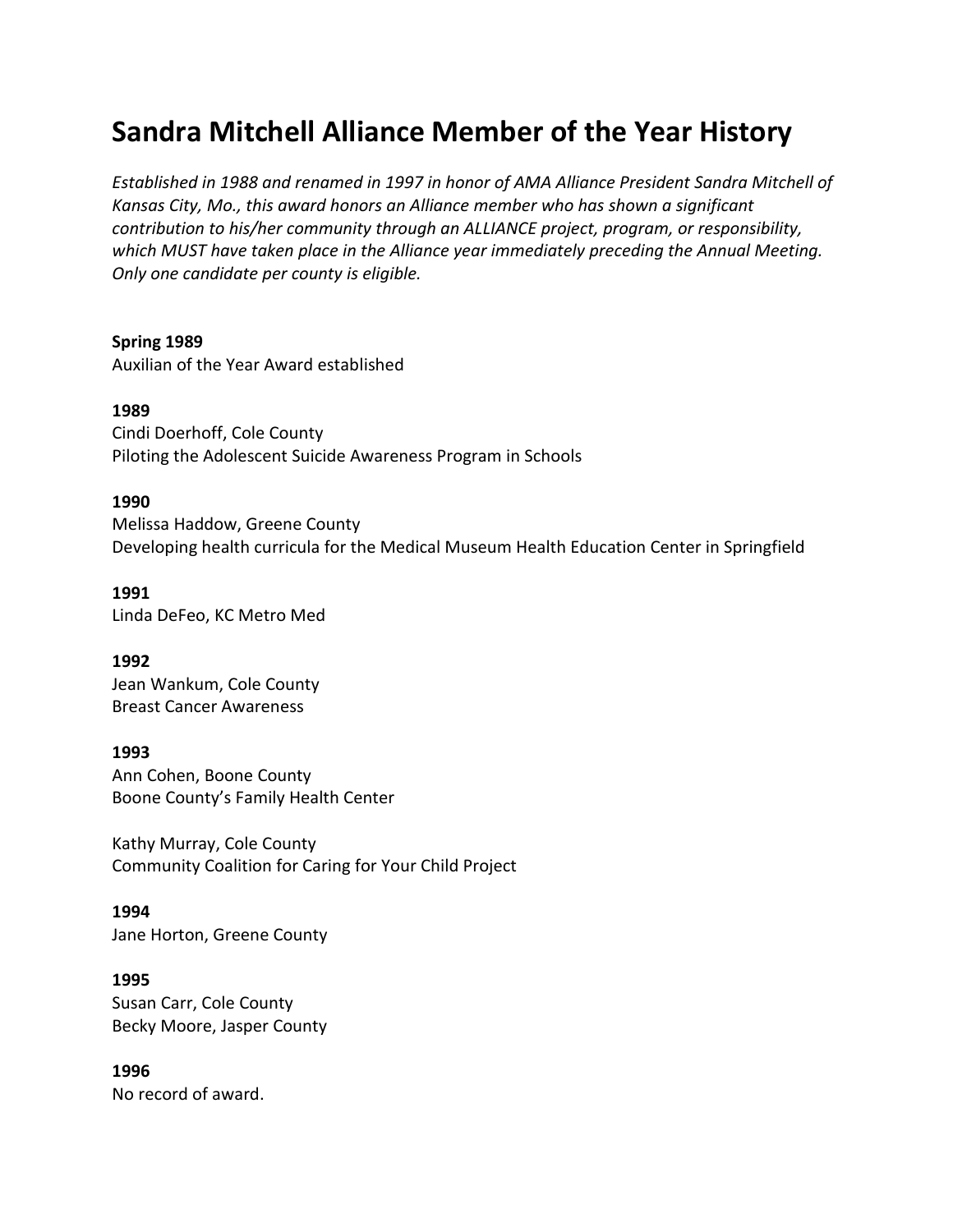# **Sandra Mitchell Alliance Member of the Year History**

*Established in 1988 and renamed in 1997 in honor of AMA Alliance President Sandra Mitchell of Kansas City, Mo., this award honors an Alliance member who has shown a significant contribution to his/her community through an ALLIANCE project, program, or responsibility, which MUST have taken place in the Alliance year immediately preceding the Annual Meeting. Only one candidate per county is eligible.*

#### **Spring 1989**

Auxilian of the Year Award established

#### **1989**

Cindi Doerhoff, Cole County Piloting the Adolescent Suicide Awareness Program in Schools

#### **1990**

Melissa Haddow, Greene County Developing health curricula for the Medical Museum Health Education Center in Springfield

## **1991**

Linda DeFeo, KC Metro Med

**1992**

Jean Wankum, Cole County Breast Cancer Awareness

#### **1993**

Ann Cohen, Boone County Boone County's Family Health Center

Kathy Murray, Cole County Community Coalition for Caring for Your Child Project

#### **1994**

Jane Horton, Greene County

#### **1995**

Susan Carr, Cole County Becky Moore, Jasper County

#### **1996**

No record of award.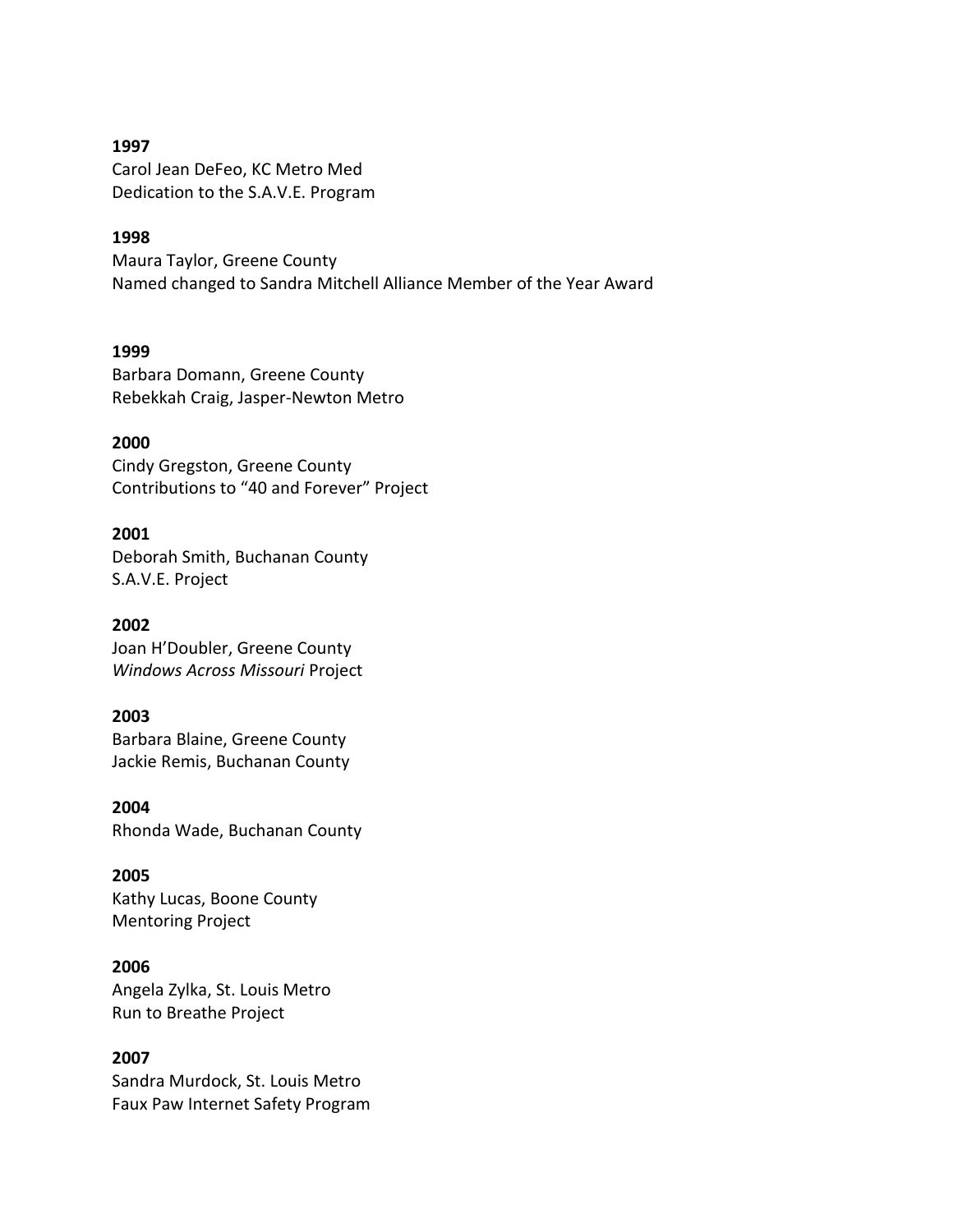**1997** Carol Jean DeFeo, KC Metro Med Dedication to the S.A.V.E. Program

#### **1998**

Maura Taylor, Greene County Named changed to Sandra Mitchell Alliance Member of the Year Award

## **1999**

Barbara Domann, Greene County Rebekkah Craig, Jasper-Newton Metro

#### **2000**

Cindy Gregston, Greene County Contributions to "40 and Forever" Project

#### **2001**

Deborah Smith, Buchanan County S.A.V.E. Project

**2002** Joan H'Doubler, Greene County *Windows Across Missouri* Project

#### **2003**

Barbara Blaine, Greene County Jackie Remis, Buchanan County

**2004** Rhonda Wade, Buchanan County

# **2005**

Kathy Lucas, Boone County Mentoring Project

## **2006**

Angela Zylka, St. Louis Metro Run to Breathe Project

### **2007**

Sandra Murdock, St. Louis Metro Faux Paw Internet Safety Program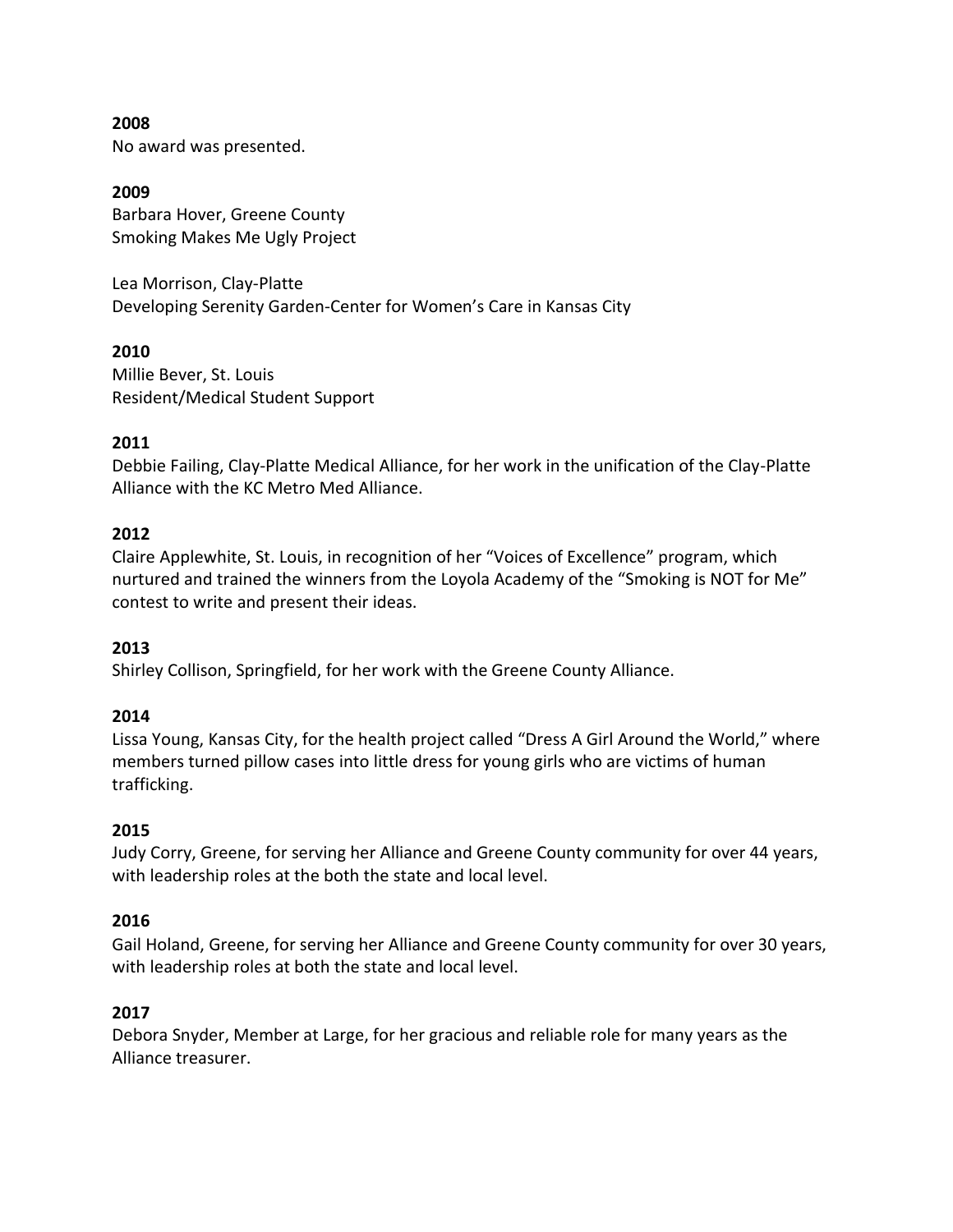**2008** No award was presented.

**2009** Barbara Hover, Greene County Smoking Makes Me Ugly Project

Lea Morrison, Clay-Platte Developing Serenity Garden-Center for Women's Care in Kansas City

# **2010**

Millie Bever, St. Louis Resident/Medical Student Support

# **2011**

Debbie Failing, Clay-Platte Medical Alliance, for her work in the unification of the Clay-Platte Alliance with the KC Metro Med Alliance.

# **2012**

Claire Applewhite, St. Louis, in recognition of her "Voices of Excellence" program, which nurtured and trained the winners from the Loyola Academy of the "Smoking is NOT for Me" contest to write and present their ideas.

## **2013**

Shirley Collison, Springfield, for her work with the Greene County Alliance.

## **2014**

Lissa Young, Kansas City, for the health project called "Dress A Girl Around the World," where members turned pillow cases into little dress for young girls who are victims of human trafficking.

# **2015**

Judy Corry, Greene, for serving her Alliance and Greene County community for over 44 years, with leadership roles at the both the state and local level.

## **2016**

Gail Holand, Greene, for serving her Alliance and Greene County community for over 30 years, with leadership roles at both the state and local level.

## **2017**

Debora Snyder, Member at Large, for her gracious and reliable role for many years as the Alliance treasurer.